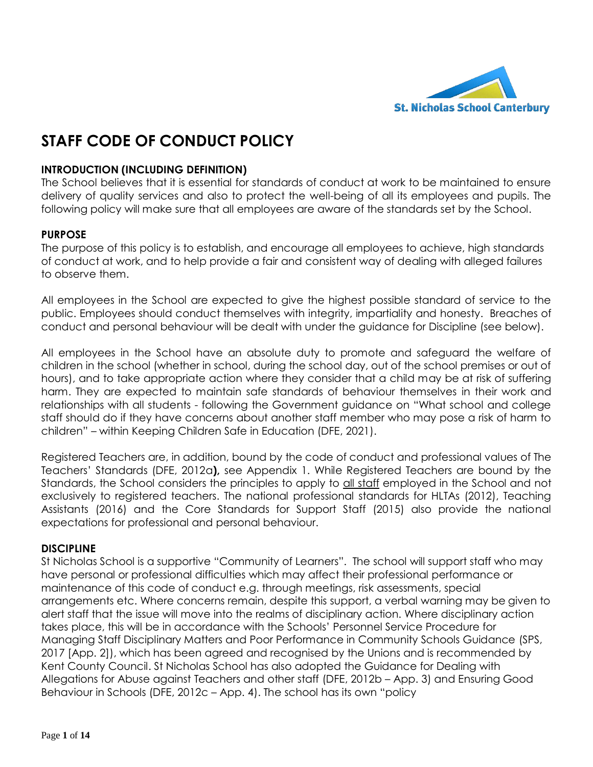

# **STAFF CODE OF CONDUCT POLICY**

## **INTRODUCTION (INCLUDING DEFINITION)**

The School believes that it is essential for standards of conduct at work to be maintained to ensure delivery of quality services and also to protect the well-being of all its employees and pupils. The following policy will make sure that all employees are aware of the standards set by the School.

#### **PURPOSE**

The purpose of this policy is to establish, and encourage all employees to achieve, high standards of conduct at work, and to help provide a fair and consistent way of dealing with alleged failures to observe them.

All employees in the School are expected to give the highest possible standard of service to the public. Employees should conduct themselves with integrity, impartiality and honesty. Breaches of conduct and personal behaviour will be dealt with under the guidance for Discipline (see below).

All employees in the School have an absolute duty to promote and safeguard the welfare of children in the school (whether in school, during the school day, out of the school premises or out of hours), and to take appropriate action where they consider that a child may be at risk of suffering harm. They are expected to maintain safe standards of behaviour themselves in their work and relationships with all students - following the Government guidance on "What school and college staff should do if they have concerns about another staff member who may pose a risk of harm to children" – within Keeping Children Safe in Education (DFE, 2021).

Registered Teachers are, in addition, bound by the code of conduct and professional values of The Teachers' Standards (DFE, 2012a**),** see Appendix 1. While Registered Teachers are bound by the Standards, the School considers the principles to apply to all staff employed in the School and not exclusively to registered teachers. The national professional standards for HLTAs (2012), Teaching Assistants (2016) and the Core Standards for Support Staff (2015) also provide the national expectations for professional and personal behaviour.

#### **DISCIPLINE**

St Nicholas School is a supportive "Community of Learners". The school will support staff who may have personal or professional difficulties which may affect their professional performance or maintenance of this code of conduct e.g. through meetings, risk assessments, special arrangements etc. Where concerns remain, despite this support, a verbal warning may be given to alert staff that the issue will move into the realms of disciplinary action. Where disciplinary action takes place, this will be in accordance with the Schools' Personnel Service Procedure for Managing Staff Disciplinary Matters and Poor Performance in Community Schools Guidance (SPS, 2017 [App. 2]), which has been agreed and recognised by the Unions and is recommended by Kent County Council. St Nicholas School has also adopted the Guidance for Dealing with Allegations for Abuse against Teachers and other staff (DFE, 2012b – App. 3) and Ensuring Good Behaviour in Schools (DFE, 2012c – App. 4). The school has its own "policy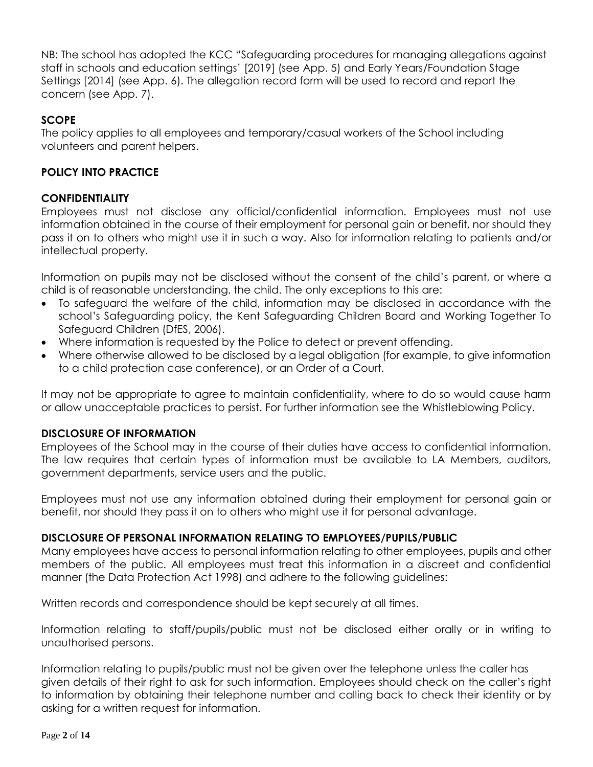NB: The school has adopted the KCC "Safeguarding procedures for managing allegations against staff in schools and education settings' [2019] (see App. 5) and Early Years/Foundation Stage Settings [2014] (see App. 6). The allegation record form will be used to record and report the concern (see App. 7).

# **SCOPE**

The policy applies to all employees and temporary/casual workers of the School including volunteers and parent helpers.

# **POLICY INTO PRACTICE**

# **CONFIDENTIALITY**

Employees must not disclose any official/confidential information. Employees must not use information obtained in the course of their employment for personal gain or benefit, nor should they pass it on to others who might use it in such a way. Also for information relating to patients and/or intellectual property.

Information on pupils may not be disclosed without the consent of the child's parent, or where a child is of reasonable understanding, the child. The only exceptions to this are:

- To safeguard the welfare of the child, information may be disclosed in accordance with the school's Safeguarding policy, the Kent Safeguarding Children Board and Working Together To Safeguard Children (DfES, 2006).
- Where information is requested by the Police to detect or prevent offending.
- Where otherwise allowed to be disclosed by a legal obligation (for example, to give information to a child protection case conference), or an Order of a Court.

It may not be appropriate to agree to maintain confidentiality, where to do so would cause harm or allow unacceptable practices to persist. For further information see the Whistleblowing Policy.

# **DISCLOSURE OF INFORMATION**

Employees of the School may in the course of their duties have access to confidential information. The law requires that certain types of information must be available to LA Members, auditors, government departments, service users and the public.

Employees must not use any information obtained during their employment for personal gain or benefit, nor should they pass it on to others who might use it for personal advantage.

# **DISCLOSURE OF PERSONAL INFORMATION RELATING TO EMPLOYEES/PUPILS/PUBLIC**

Many employees have access to personal information relating to other employees, pupils and other members of the public. All employees must treat this information in a discreet and confidential manner (the Data Protection Act 1998) and adhere to the following guidelines:

Written records and correspondence should be kept securely at all times.

Information relating to staff/pupils/public must not be disclosed either orally or in writing to unauthorised persons.

Information relating to pupils/public must not be given over the telephone unless the caller has given details of their right to ask for such information. Employees should check on the caller's right to information by obtaining their telephone number and calling back to check their identity or by asking for a written request for information.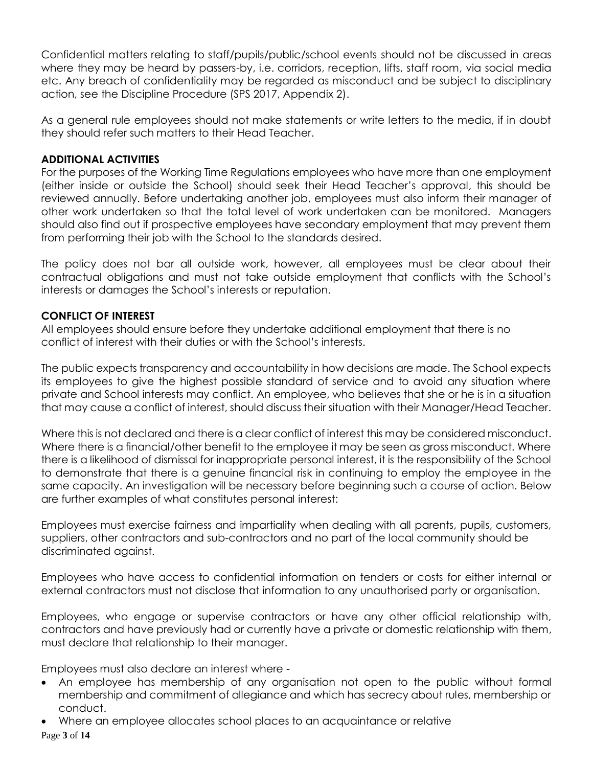Confidential matters relating to staff/pupils/public/school events should not be discussed in areas where they may be heard by passers-by, i.e. corridors, reception, lifts, staff room, via social media etc. Any breach of confidentiality may be regarded as misconduct and be subject to disciplinary action, see the Discipline Procedure (SPS 2017, Appendix 2).

As a general rule employees should not make statements or write letters to the media, if in doubt they should refer such matters to their Head Teacher.

# **ADDITIONAL ACTIVITIES**

For the purposes of the Working Time Regulations employees who have more than one employment (either inside or outside the School) should seek their Head Teacher's approval, this should be reviewed annually. Before undertaking another job, employees must also inform their manager of other work undertaken so that the total level of work undertaken can be monitored. Managers should also find out if prospective employees have secondary employment that may prevent them from performing their job with the School to the standards desired.

The policy does not bar all outside work, however, all employees must be clear about their contractual obligations and must not take outside employment that conflicts with the School's interests or damages the School's interests or reputation.

# **CONFLICT OF INTEREST**

All employees should ensure before they undertake additional employment that there is no conflict of interest with their duties or with the School's interests.

The public expects transparency and accountability in how decisions are made. The School expects its employees to give the highest possible standard of service and to avoid any situation where private and School interests may conflict. An employee, who believes that she or he is in a situation that may cause a conflict of interest, should discuss their situation with their Manager/Head Teacher.

Where this is not declared and there is a clear conflict of interest this may be considered misconduct. Where there is a financial/other benefit to the employee it may be seen as gross misconduct. Where there is a likelihood of dismissal for inappropriate personal interest, it is the responsibility of the School to demonstrate that there is a genuine financial risk in continuing to employ the employee in the same capacity. An investigation will be necessary before beginning such a course of action. Below are further examples of what constitutes personal interest:

Employees must exercise fairness and impartiality when dealing with all parents, pupils, customers, suppliers, other contractors and sub-contractors and no part of the local community should be discriminated against.

Employees who have access to confidential information on tenders or costs for either internal or external contractors must not disclose that information to any unauthorised party or organisation.

Employees, who engage or supervise contractors or have any other official relationship with, contractors and have previously had or currently have a private or domestic relationship with them, must declare that relationship to their manager.

Employees must also declare an interest where -

- An employee has membership of any organisation not open to the public without formal membership and commitment of allegiance and which has secrecy about rules, membership or conduct.
- Where an employee allocates school places to an acquaintance or relative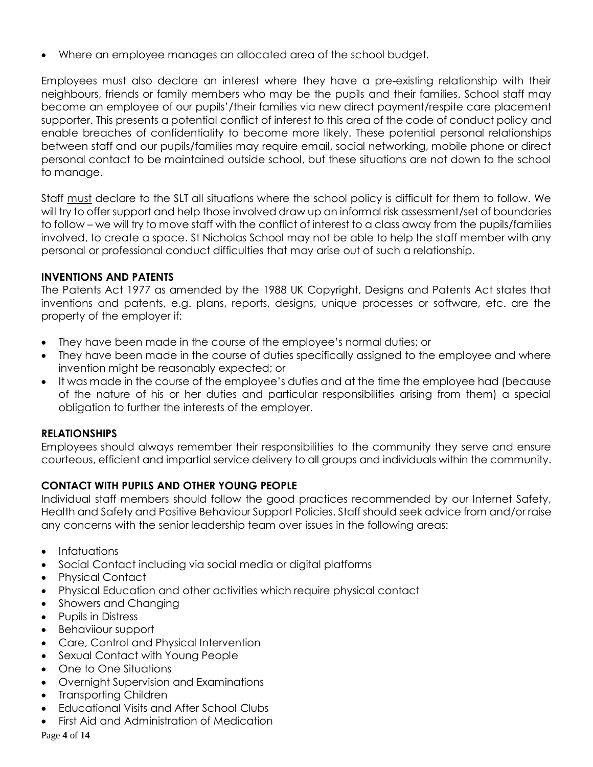Where an employee manages an allocated area of the school budget.

Employees must also declare an interest where they have a pre-existing relationship with their neighbours, friends or family members who may be the pupils and their families. School staff may become an employee of our pupils'/their families via new direct payment/respite care placement supporter. This presents a potential conflict of interest to this area of the code of conduct policy and enable breaches of confidentiality to become more likely. These potential personal relationships between staff and our pupils/families may require email, social networking, mobile phone or direct personal contact to be maintained outside school, but these situations are not down to the school to manage.

Staff must declare to the SLT all situations where the school policy is difficult for them to follow. We will try to offer support and help those involved draw up an informal risk assessment/set of boundaries to follow – we will try to move staff with the conflict of interest to a class away from the pupils/families involved, to create a space. St Nicholas School may not be able to help the staff member with any personal or professional conduct difficulties that may arise out of such a relationship.

# **INVENTIONS AND PATENTS**

The Patents Act 1977 as amended by the 1988 UK Copyright, Designs and Patents Act states that inventions and patents, e.g. plans, reports, designs, unique processes or software, etc. are the property of the employer if:

- They have been made in the course of the employee's normal duties; or
- They have been made in the course of duties specifically assigned to the employee and where invention might be reasonably expected; or
- It was made in the course of the employee's duties and at the time the employee had (because of the nature of his or her duties and particular responsibilities arising from them) a special obligation to further the interests of the employer.

# **RELATIONSHIPS**

Employees should always remember their responsibilities to the community they serve and ensure courteous, efficient and impartial service delivery to all groups and individuals within the community.

# **CONTACT WITH PUPILS AND OTHER YOUNG PEOPLE**

Individual staff members should follow the good practices recommended by our Internet Safety, Health and Safety and Positive Behaviour Support Policies. Staff should seek advice from and/or raise any concerns with the senior leadership team over issues in the following areas:

- Infatuations
- Social Contact including via social media or digital platforms
- Physical Contact
- Physical Education and other activities which require physical contact
- Showers and Chanaina
- Pupils in Distress
- Behaviiour support
- Care, Control and Physical Intervention
- Sexual Contact with Young People
- One to One Situations
- Overnight Supervision and Examinations
- Transporting Children
- Educational Visits and After School Clubs
- First Aid and Administration of Medication

Page **4** of **14**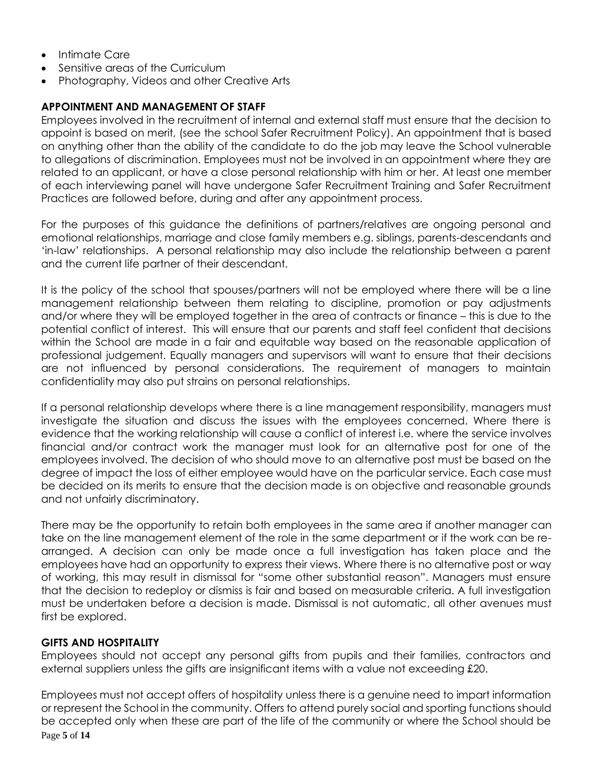- Intimate Care
- Sensitive areas of the Curriculum
- Photography, Videos and other Creative Arts

## **APPOINTMENT AND MANAGEMENT OF STAFF**

Employees involved in the recruitment of internal and external staff must ensure that the decision to appoint is based on merit, (see the school Safer Recruitment Policy). An appointment that is based on anything other than the ability of the candidate to do the job may leave the School vulnerable to allegations of discrimination. Employees must not be involved in an appointment where they are related to an applicant, or have a close personal relationship with him or her. At least one member of each interviewing panel will have undergone Safer Recruitment Training and Safer Recruitment Practices are followed before, during and after any appointment process.

For the purposes of this guidance the definitions of partners/relatives are ongoing personal and emotional relationships, marriage and close family members e.g. siblings, parents-descendants and 'in-law' relationships. A personal relationship may also include the relationship between a parent and the current life partner of their descendant.

It is the policy of the school that spouses/partners will not be employed where there will be a line management relationship between them relating to discipline, promotion or pay adjustments and/or where they will be employed together in the area of contracts or finance – this is due to the potential conflict of interest. This will ensure that our parents and staff feel confident that decisions within the School are made in a fair and equitable way based on the reasonable application of professional judgement. Equally managers and supervisors will want to ensure that their decisions are not influenced by personal considerations. The requirement of managers to maintain confidentiality may also put strains on personal relationships.

If a personal relationship develops where there is a line management responsibility, managers must investigate the situation and discuss the issues with the employees concerned. Where there is evidence that the working relationship will cause a conflict of interest i.e. where the service involves financial and/or contract work the manager must look for an alternative post for one of the employees involved. The decision of who should move to an alternative post must be based on the degree of impact the loss of either employee would have on the particular service. Each case must be decided on its merits to ensure that the decision made is on objective and reasonable grounds and not unfairly discriminatory.

There may be the opportunity to retain both employees in the same area if another manager can take on the line management element of the role in the same department or if the work can be rearranged. A decision can only be made once a full investigation has taken place and the employees have had an opportunity to express their views. Where there is no alternative post or way of working, this may result in dismissal for "some other substantial reason". Managers must ensure that the decision to redeploy or dismiss is fair and based on measurable criteria. A full investigation must be undertaken before a decision is made. Dismissal is not automatic, all other avenues must first be explored.

#### **GIFTS AND HOSPITALITY**

Employees should not accept any personal gifts from pupils and their families, contractors and external suppliers unless the gifts are insignificant items with a value not exceeding £20.

Page **5** of **14** Employees must not accept offers of hospitality unless there is a genuine need to impart information or represent the School in the community. Offers to attend purely social and sporting functions should be accepted only when these are part of the life of the community or where the School should be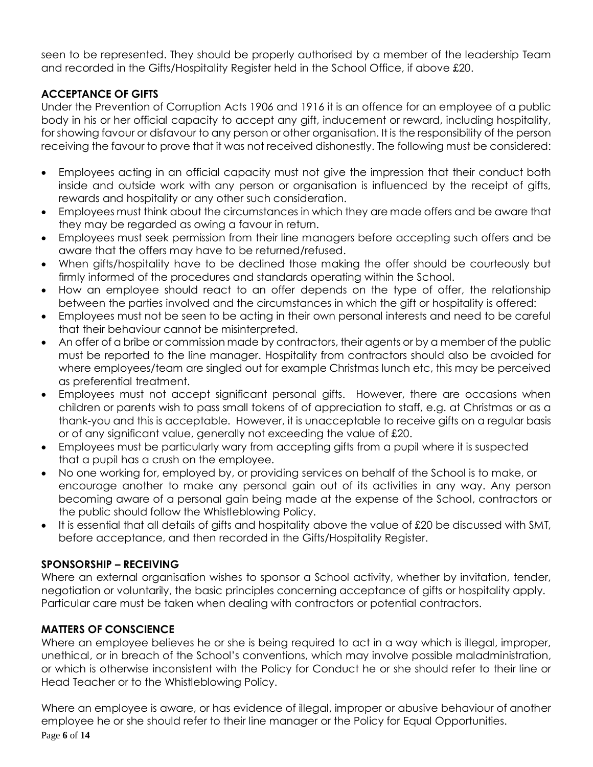seen to be represented. They should be properly authorised by a member of the leadership Team and recorded in the Gifts/Hospitality Register held in the School Office, if above £20.

# **ACCEPTANCE OF GIFTS**

Under the Prevention of Corruption Acts 1906 and 1916 it is an offence for an employee of a public body in his or her official capacity to accept any gift, inducement or reward, including hospitality, for showing favour or disfavour to any person or other organisation. It is the responsibility of the person receiving the favour to prove that it was not received dishonestly. The following must be considered:

- Employees acting in an official capacity must not give the impression that their conduct both inside and outside work with any person or organisation is influenced by the receipt of gifts, rewards and hospitality or any other such consideration.
- Employees must think about the circumstances in which they are made offers and be aware that they may be regarded as owing a favour in return.
- Employees must seek permission from their line managers before accepting such offers and be aware that the offers may have to be returned/refused.
- When gifts/hospitality have to be declined those making the offer should be courteously but firmly informed of the procedures and standards operating within the School.
- How an employee should react to an offer depends on the type of offer, the relationship between the parties involved and the circumstances in which the gift or hospitality is offered:
- Employees must not be seen to be acting in their own personal interests and need to be careful that their behaviour cannot be misinterpreted.
- An offer of a bribe or commission made by contractors, their agents or by a member of the public must be reported to the line manager. Hospitality from contractors should also be avoided for where employees/team are singled out for example Christmas lunch etc, this may be perceived as preferential treatment.
- Employees must not accept significant personal gifts. However, there are occasions when children or parents wish to pass small tokens of of appreciation to staff, e.g. at Christmas or as a thank-you and this is acceptable. However, it is unacceptable to receive gifts on a regular basis or of any significant value, generally not exceeding the value of £20.
- Employees must be particularly wary from accepting gifts from a pupil where it is suspected that a pupil has a crush on the employee.
- No one working for, employed by, or providing services on behalf of the School is to make, or encourage another to make any personal gain out of its activities in any way. Any person becoming aware of a personal gain being made at the expense of the School, contractors or the public should follow the Whistleblowing Policy.
- $\bullet$  It is essential that all details of gifts and hospitality above the value of £20 be discussed with SMT, before acceptance, and then recorded in the Gifts/Hospitality Register.

# **SPONSORSHIP – RECEIVING**

Where an external organisation wishes to sponsor a School activity, whether by invitation, tender, negotiation or voluntarily, the basic principles concerning acceptance of gifts or hospitality apply. Particular care must be taken when dealing with contractors or potential contractors.

# **MATTERS OF CONSCIENCE**

Where an employee believes he or she is being required to act in a way which is illegal, improper, unethical, or in breach of the School's conventions, which may involve possible maladministration, or which is otherwise inconsistent with the Policy for Conduct he or she should refer to their line or Head Teacher or to the Whistleblowing Policy.

Page **6** of **14** Where an employee is aware, or has evidence of illegal, improper or abusive behaviour of another employee he or she should refer to their line manager or the Policy for Equal Opportunities.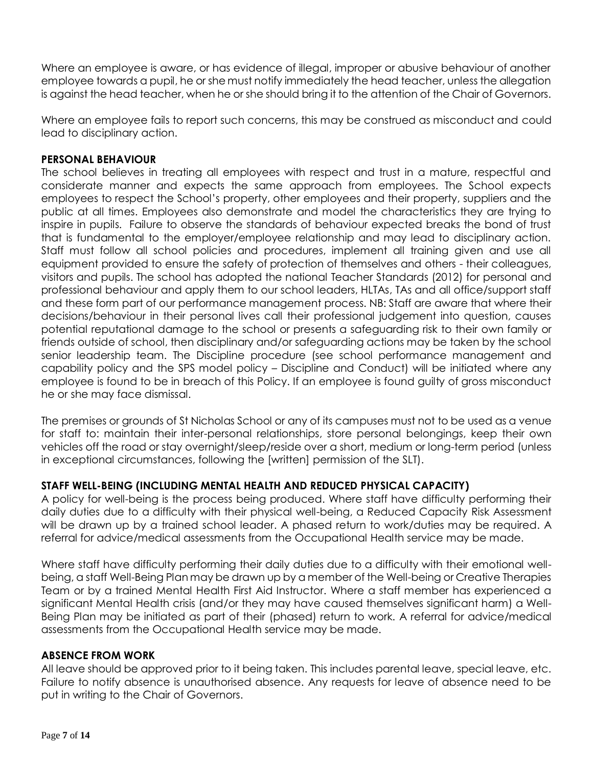Where an employee is aware, or has evidence of illegal, improper or abusive behaviour of another employee towards a pupil, he or she must notify immediately the head teacher, unless the allegation is against the head teacher, when he or she should bring it to the attention of the Chair of Governors.

Where an employee fails to report such concerns, this may be construed as misconduct and could lead to disciplinary action.

## **PERSONAL BEHAVIOUR**

The school believes in treating all employees with respect and trust in a mature, respectful and considerate manner and expects the same approach from employees. The School expects employees to respect the School's property, other employees and their property, suppliers and the public at all times. Employees also demonstrate and model the characteristics they are trying to inspire in pupils. Failure to observe the standards of behaviour expected breaks the bond of trust that is fundamental to the employer/employee relationship and may lead to disciplinary action. Staff must follow all school policies and procedures, implement all training given and use all equipment provided to ensure the safety of protection of themselves and others - their colleagues, visitors and pupils. The school has adopted the national Teacher Standards (2012) for personal and professional behaviour and apply them to our school leaders, HLTAs, TAs and all office/support staff and these form part of our performance management process. NB: Staff are aware that where their decisions/behaviour in their personal lives call their professional judgement into question, causes potential reputational damage to the school or presents a safeguarding risk to their own family or friends outside of school, then disciplinary and/or safeguarding actions may be taken by the school senior leadership team. The Discipline procedure (see school performance management and capability policy and the SPS model policy – Discipline and Conduct) will be initiated where any employee is found to be in breach of this Policy. If an employee is found guilty of gross misconduct he or she may face dismissal.

The premises or grounds of St Nicholas School or any of its campuses must not to be used as a venue for staff to: maintain their inter-personal relationships, store personal belongings, keep their own vehicles off the road or stay overnight/sleep/reside over a short, medium or long-term period (unless in exceptional circumstances, following the [written] permission of the SLT).

# **STAFF WELL-BEING (INCLUDING MENTAL HEALTH AND REDUCED PHYSICAL CAPACITY)**

A policy for well-being is the process being produced. Where staff have difficulty performing their daily duties due to a difficulty with their physical well-being, a Reduced Capacity Risk Assessment will be drawn up by a trained school leader. A phased return to work/duties may be required. A referral for advice/medical assessments from the Occupational Health service may be made.

Where staff have difficulty performing their daily duties due to a difficulty with their emotional wellbeing, a staff Well-Being Plan may be drawn up by a member of the Well-being or Creative Therapies Team or by a trained Mental Health First Aid Instructor. Where a staff member has experienced a significant Mental Health crisis (and/or they may have caused themselves significant harm) a Well-Being Plan may be initiated as part of their (phased) return to work. A referral for advice/medical assessments from the Occupational Health service may be made.

#### **ABSENCE FROM WORK**

All leave should be approved prior to it being taken. This includes parental leave, special leave, etc. Failure to notify absence is unauthorised absence. Any requests for leave of absence need to be put in writing to the Chair of Governors.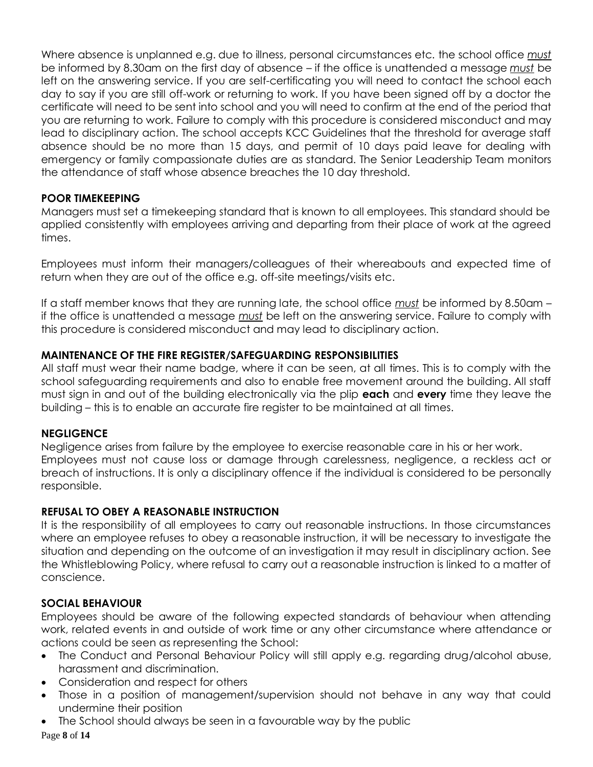Where absence is unplanned e.g. due to illness, personal circumstances etc. the school office *must*  be informed by 8.30am on the first day of absence – if the office is unattended a message *must* be left on the answering service. If you are self-certificating you will need to contact the school each day to say if you are still off-work or returning to work. If you have been signed off by a doctor the certificate will need to be sent into school and you will need to confirm at the end of the period that you are returning to work. Failure to comply with this procedure is considered misconduct and may lead to disciplinary action. The school accepts KCC Guidelines that the threshold for average staff absence should be no more than 15 days, and permit of 10 days paid leave for dealing with emergency or family compassionate duties are as standard. The Senior Leadership Team monitors the attendance of staff whose absence breaches the 10 day threshold.

# **POOR TIMEKEEPING**

Managers must set a timekeeping standard that is known to all employees. This standard should be applied consistently with employees arriving and departing from their place of work at the agreed times.

Employees must inform their managers/colleagues of their whereabouts and expected time of return when they are out of the office e.g. off-site meetings/visits etc.

If a staff member knows that they are running late, the school office *must* be informed by 8.50am – if the office is unattended a message *must* be left on the answering service. Failure to comply with this procedure is considered misconduct and may lead to disciplinary action.

# **MAINTENANCE OF THE FIRE REGISTER/SAFEGUARDING RESPONSIBILITIES**

All staff must wear their name badge, where it can be seen, at all times. This is to comply with the school safeguarding requirements and also to enable free movement around the building. All staff must sign in and out of the building electronically via the plip **each** and **every** time they leave the building – this is to enable an accurate fire register to be maintained at all times.

# **NEGLIGENCE**

Negligence arises from failure by the employee to exercise reasonable care in his or her work. Employees must not cause loss or damage through carelessness, negligence, a reckless act or breach of instructions. It is only a disciplinary offence if the individual is considered to be personally responsible.

# **REFUSAL TO OBEY A REASONABLE INSTRUCTION**

It is the responsibility of all employees to carry out reasonable instructions. In those circumstances where an employee refuses to obey a reasonable instruction, it will be necessary to investigate the situation and depending on the outcome of an investigation it may result in disciplinary action. See the Whistleblowing Policy, where refusal to carry out a reasonable instruction is linked to a matter of conscience.

# **SOCIAL BEHAVIOUR**

Employees should be aware of the following expected standards of behaviour when attending work, related events in and outside of work time or any other circumstance where attendance or actions could be seen as representing the School:

- The Conduct and Personal Behaviour Policy will still apply e.g. regarding drug/alcohol abuse, harassment and discrimination.
- Consideration and respect for others
- Those in a position of management/supervision should not behave in any way that could undermine their position
- The School should always be seen in a favourable way by the public

Page **8** of **14**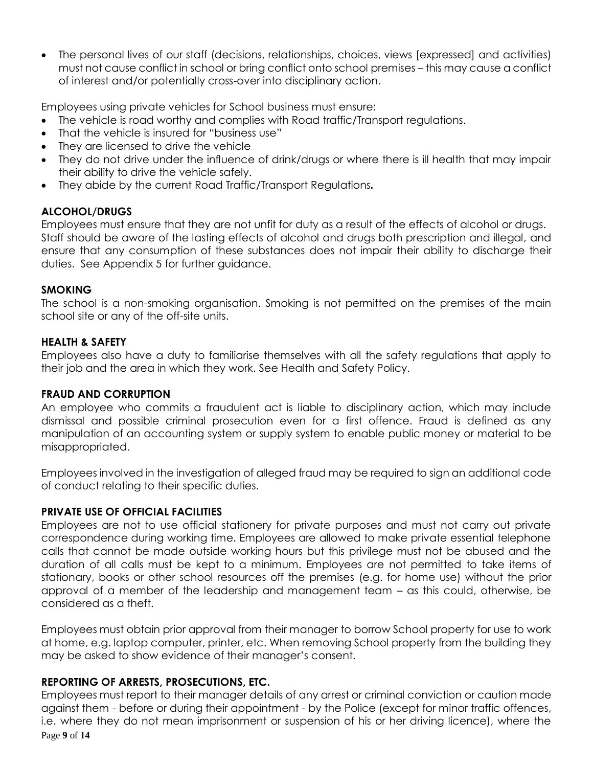The personal lives of our staff (decisions, relationships, choices, views [expressed] and activities) must not cause conflict in school or bring conflict onto school premises – this may cause a conflict of interest and/or potentially cross-over into disciplinary action.

Employees using private vehicles for School business must ensure:

- The vehicle is road worthy and complies with Road traffic/Transport regulations.
- That the vehicle is insured for "business use"
- They are licensed to drive the vehicle
- They do not drive under the influence of drink/drugs or where there is ill health that may impair their ability to drive the vehicle safely.
- They abide by the current Road Traffic/Transport Regulations*.*

#### **ALCOHOL/DRUGS**

Employees must ensure that they are not unfit for duty as a result of the effects of alcohol or drugs. Staff should be aware of the lasting effects of alcohol and drugs both prescription and illegal, and ensure that any consumption of these substances does not impair their ability to discharge their duties. See Appendix 5 for further guidance.

## **SMOKING**

The school is a non-smoking organisation. Smoking is not permitted on the premises of the main school site or any of the off-site units.

#### **HEALTH & SAFETY**

Employees also have a duty to familiarise themselves with all the safety regulations that apply to their job and the area in which they work. See Health and Safety Policy.

#### **FRAUD AND CORRUPTION**

An employee who commits a fraudulent act is liable to disciplinary action, which may include dismissal and possible criminal prosecution even for a first offence. Fraud is defined as any manipulation of an accounting system or supply system to enable public money or material to be misappropriated.

Employees involved in the investigation of alleged fraud may be required to sign an additional code of conduct relating to their specific duties.

#### **PRIVATE USE OF OFFICIAL FACILITIES**

Employees are not to use official stationery for private purposes and must not carry out private correspondence during working time. Employees are allowed to make private essential telephone calls that cannot be made outside working hours but this privilege must not be abused and the duration of all calls must be kept to a minimum. Employees are not permitted to take items of stationary, books or other school resources off the premises (e.g. for home use) without the prior approval of a member of the leadership and management team – as this could, otherwise, be considered as a theft.

Employees must obtain prior approval from their manager to borrow School property for use to work at home, e.g. laptop computer, printer, etc. When removing School property from the building they may be asked to show evidence of their manager's consent.

#### **REPORTING OF ARRESTS, PROSECUTIONS, ETC.**

Page **9** of **14** Employees must report to their manager details of any arrest or criminal conviction or caution made against them - before or during their appointment - by the Police (except for minor traffic offences, i.e. where they do not mean imprisonment or suspension of his or her driving licence), where the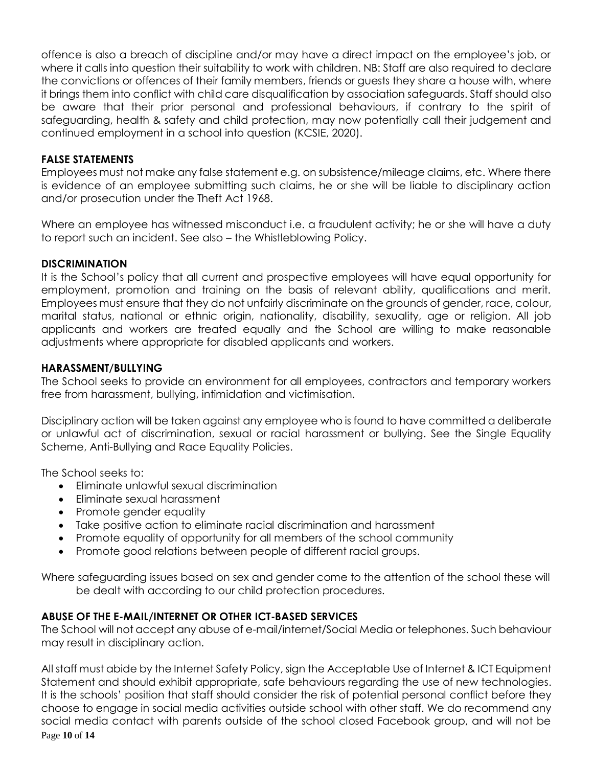offence is also a breach of discipline and/or may have a direct impact on the employee's job, or where it calls into question their suitability to work with children. NB: Staff are also required to declare the convictions or offences of their family members, friends or guests they share a house with, where it brings them into conflict with child care disqualification by association safeguards. Staff should also be aware that their prior personal and professional behaviours, if contrary to the spirit of safeguarding, health & safety and child protection, may now potentially call their judgement and continued employment in a school into question (KCSIE, 2020).

## **FALSE STATEMENTS**

Employees must not make any false statement e.g. on subsistence/mileage claims, etc. Where there is evidence of an employee submitting such claims, he or she will be liable to disciplinary action and/or prosecution under the Theft Act 1968.

Where an employee has witnessed misconduct i.e. a fraudulent activity; he or she will have a duty to report such an incident. See also – the Whistleblowing Policy.

#### **DISCRIMINATION**

It is the School's policy that all current and prospective employees will have equal opportunity for employment, promotion and training on the basis of relevant ability, qualifications and merit. Employees must ensure that they do not unfairly discriminate on the grounds of gender, race, colour, marital status, national or ethnic origin, nationality, disability, sexuality, age or religion. All job applicants and workers are treated equally and the School are willing to make reasonable adjustments where appropriate for disabled applicants and workers.

#### **HARASSMENT/BULLYING**

The School seeks to provide an environment for all employees, contractors and temporary workers free from harassment, bullying, intimidation and victimisation.

Disciplinary action will be taken against any employee who is found to have committed a deliberate or unlawful act of discrimination, sexual or racial harassment or bullying. See the Single Equality Scheme, Anti-Bullying and Race Equality Policies.

The School seeks to:

- Eliminate unlawful sexual discrimination
- Eliminate sexual harassment
- Promote gender equality
- Take positive action to eliminate racial discrimination and harassment
- Promote equality of opportunity for all members of the school community
- Promote good relations between people of different racial groups.

Where safeguarding issues based on sex and gender come to the attention of the school these will be dealt with according to our child protection procedures.

#### **ABUSE OF THE E-MAIL/INTERNET OR OTHER ICT-BASED SERVICES**

The School will not accept any abuse of e-mail/internet/Social Media or telephones. Such behaviour may result in disciplinary action.

Page **10** of **14** All staff must abide by the Internet Safety Policy, sign the Acceptable Use of Internet & ICT Equipment Statement and should exhibit appropriate, safe behaviours regarding the use of new technologies. It is the schools' position that staff should consider the risk of potential personal conflict before they choose to engage in social media activities outside school with other staff. We do recommend any social media contact with parents outside of the school closed Facebook group, and will not be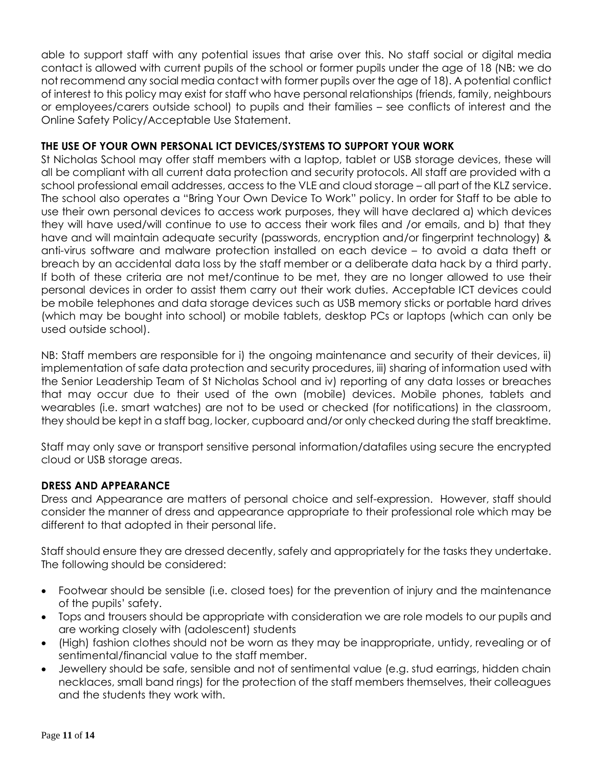able to support staff with any potential issues that arise over this. No staff social or digital media contact is allowed with current pupils of the school or former pupils under the age of 18 (NB: we do not recommend any social media contact with former pupils over the age of 18). A potential conflict of interest to this policy may exist for staff who have personal relationships (friends, family, neighbours or employees/carers outside school) to pupils and their families – see conflicts of interest and the Online Safety Policy/Acceptable Use Statement.

# **THE USE OF YOUR OWN PERSONAL ICT DEVICES/SYSTEMS TO SUPPORT YOUR WORK**

St Nicholas School may offer staff members with a laptop, tablet or USB storage devices, these will all be compliant with all current data protection and security protocols. All staff are provided with a school professional email addresses, access to the VLE and cloud storage – all part of the KLZ service. The school also operates a "Bring Your Own Device To Work" policy. In order for Staff to be able to use their own personal devices to access work purposes, they will have declared a) which devices they will have used/will continue to use to access their work files and /or emails, and b) that they have and will maintain adequate security (passwords, encryption and/or fingerprint technology) & anti-virus software and malware protection installed on each device – to avoid a data theft or breach by an accidental data loss by the staff member or a deliberate data hack by a third party. If both of these criteria are not met/continue to be met, they are no longer allowed to use their personal devices in order to assist them carry out their work duties. Acceptable ICT devices could be mobile telephones and data storage devices such as USB memory sticks or portable hard drives (which may be bought into school) or mobile tablets, desktop PCs or laptops (which can only be used outside school).

NB: Staff members are responsible for i) the ongoing maintenance and security of their devices, ii) implementation of safe data protection and security procedures, iii) sharing of information used with the Senior Leadership Team of St Nicholas School and iv) reporting of any data losses or breaches that may occur due to their used of the own (mobile) devices. Mobile phones, tablets and wearables (i.e. smart watches) are not to be used or checked (for notifications) in the classroom, they should be kept in a staff bag, locker, cupboard and/or only checked during the staff breaktime.

Staff may only save or transport sensitive personal information/datafiles using secure the encrypted cloud or USB storage areas.

# **DRESS AND APPEARANCE**

Dress and Appearance are matters of personal choice and self-expression. However, staff should consider the manner of dress and appearance appropriate to their professional role which may be different to that adopted in their personal life.

Staff should ensure they are dressed decently, safely and appropriately for the tasks they undertake. The following should be considered:

- Footwear should be sensible (i.e. closed toes) for the prevention of injury and the maintenance of the pupils' safety.
- Tops and trousers should be appropriate with consideration we are role models to our pupils and are working closely with (adolescent) students
- (High) fashion clothes should not be worn as they may be inappropriate, untidy, revealing or of sentimental/financial value to the staff member.
- Jewellery should be safe, sensible and not of sentimental value (e.g. stud earrings, hidden chain necklaces, small band rings) for the protection of the staff members themselves, their colleagues and the students they work with.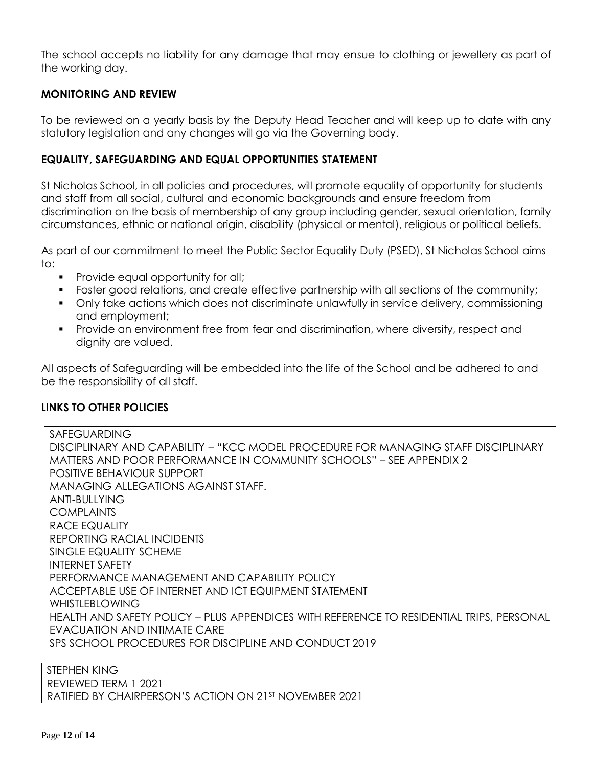The school accepts no liability for any damage that may ensue to clothing or jewellery as part of the working day.

## **MONITORING AND REVIEW**

To be reviewed on a yearly basis by the Deputy Head Teacher and will keep up to date with any statutory legislation and any changes will go via the Governing body.

## **EQUALITY, SAFEGUARDING AND EQUAL OPPORTUNITIES STATEMENT**

St Nicholas School, in all policies and procedures, will promote equality of opportunity for students and staff from all social, cultural and economic backgrounds and ensure freedom from discrimination on the basis of membership of any group including gender, sexual orientation, family circumstances, ethnic or national origin, disability (physical or mental), religious or political beliefs.

As part of our commitment to meet the Public Sector Equality Duty (PSED), St Nicholas School aims to:

- **Provide equal opportunity for all;**
- Foster good relations, and create effective partnership with all sections of the community;
- Only take actions which does not discriminate unlawfully in service delivery, commissioning and employment;
- Provide an environment free from fear and discrimination, where diversity, respect and dignity are valued.

All aspects of Safeguarding will be embedded into the life of the School and be adhered to and be the responsibility of all staff.

# **LINKS TO OTHER POLICIES**

SAFEGUARDING DISCIPLINARY AND CAPABILITY – "KCC MODEL PROCEDURE FOR MANAGING STAFF DISCIPLINARY MATTERS AND POOR PERFORMANCE IN COMMUNITY SCHOOLS" – SEE APPENDIX 2 POSITIVE BEHAVIOUR SUPPORT MANAGING ALLEGATIONS AGAINST STAFF. ANTI-BULLYING **COMPLAINTS** RACE EQUALITY REPORTING RACIAL INCIDENTS SINGLE EQUALITY SCHEME INTERNET SAFETY PERFORMANCE MANAGEMENT AND CAPABILITY POLICY ACCEPTABLE USE OF INTERNET AND ICT EQUIPMENT STATEMENT WHISTLEBLOWING HEALTH AND SAFETY POLICY – PLUS APPENDICES WITH REFERENCE TO RESIDENTIAL TRIPS, PERSONAL EVACUATION AND INTIMATE CARE SPS SCHOOL PROCEDURES FOR DISCIPLINE AND CONDUCT 2019

STEPHEN KING REVIEWED TERM 1 2021 RATIFIED BY CHAIRPERSON'S ACTION ON 21ST NOVEMBER 2021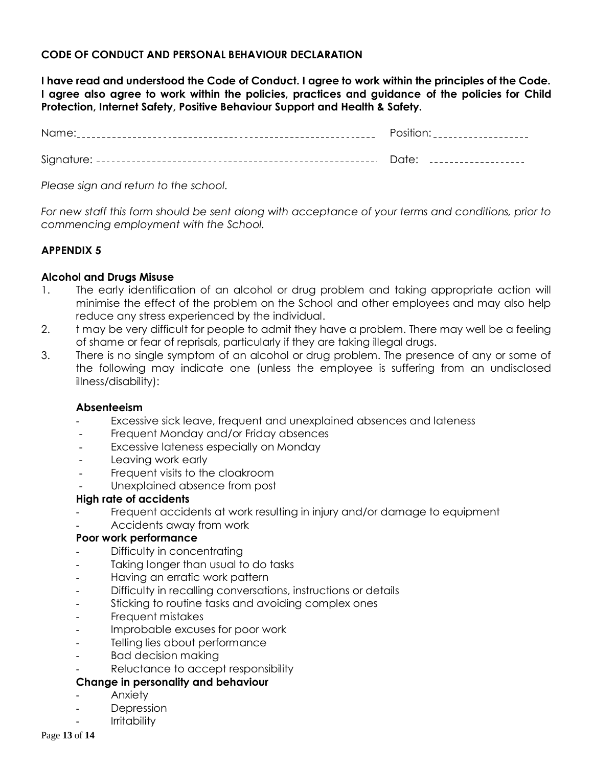#### **CODE OF CONDUCT AND PERSONAL BEHAVIOUR DECLARATION**

**I have read and understood the Code of Conduct. I agree to work within the principles of the Code. I agree also agree to work within the policies, practices and guidance of the policies for Child Protection, Internet Safety, Positive Behaviour Support and Health & Safety.**

| Name: | Position: ____________________ |
|-------|--------------------------------|
|       | Date: I                        |

*Please sign and return to the school.* 

*For new staff this form should be sent along with acceptance of your terms and conditions, prior to commencing employment with the School.*

# **APPENDIX 5**

## **Alcohol and Drugs Misuse**

- 1. The early identification of an alcohol or drug problem and taking appropriate action will minimise the effect of the problem on the School and other employees and may also help reduce any stress experienced by the individual.
- 2. t may be very difficult for people to admit they have a problem. There may well be a feeling of shame or fear of reprisals, particularly if they are taking illegal drugs.
- 3. There is no single symptom of an alcohol or drug problem. The presence of any or some of the following may indicate one (unless the employee is suffering from an undisclosed illness/disability):

#### **Absenteeism**

- Excessive sick leave, frequent and unexplained absences and lateness
- Frequent Monday and/or Friday absences
- Excessive lateness especially on Monday
- Leaving work early
- Frequent visits to the cloakroom
- Unexplained absence from post

#### **High rate of accidents**

- Frequent accidents at work resulting in injury and/or damage to equipment
- Accidents away from work

## **Poor work performance**

- Difficulty in concentrating
- Taking longer than usual to do tasks
- Having an erratic work pattern
- Difficulty in recalling conversations, instructions or details
- Sticking to routine tasks and avoiding complex ones
- Frequent mistakes
- Improbable excuses for poor work
- Telling lies about performance
- Bad decision making
- Reluctance to accept responsibility

# **Change in personality and behaviour**

- **Anxiety**
- **Depression**
- **Irritability**